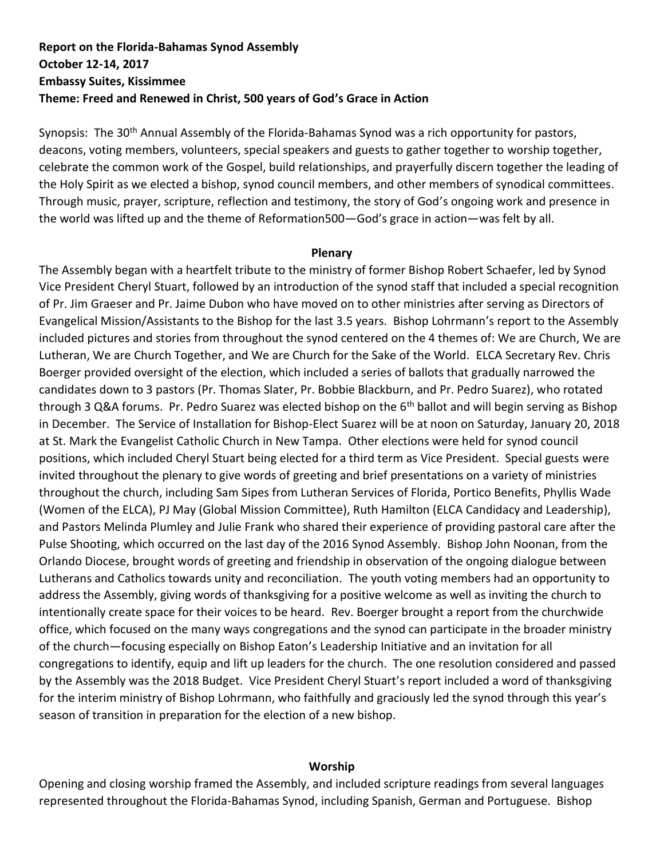# **Report on the Florida-Bahamas Synod Assembly October 12-14, 2017 Embassy Suites, Kissimmee Theme: Freed and Renewed in Christ, 500 years of God's Grace in Action**

Synopsis: The 30<sup>th</sup> Annual Assembly of the Florida-Bahamas Synod was a rich opportunity for pastors, deacons, voting members, volunteers, special speakers and guests to gather together to worship together, celebrate the common work of the Gospel, build relationships, and prayerfully discern together the leading of the Holy Spirit as we elected a bishop, synod council members, and other members of synodical committees. Through music, prayer, scripture, reflection and testimony, the story of God's ongoing work and presence in the world was lifted up and the theme of Reformation500—God's grace in action—was felt by all.

#### **Plenary**

The Assembly began with a heartfelt tribute to the ministry of former Bishop Robert Schaefer, led by Synod Vice President Cheryl Stuart, followed by an introduction of the synod staff that included a special recognition of Pr. Jim Graeser and Pr. Jaime Dubon who have moved on to other ministries after serving as Directors of Evangelical Mission/Assistants to the Bishop for the last 3.5 years. Bishop Lohrmann's report to the Assembly included pictures and stories from throughout the synod centered on the 4 themes of: We are Church, We are Lutheran, We are Church Together, and We are Church for the Sake of the World. ELCA Secretary Rev. Chris Boerger provided oversight of the election, which included a series of ballots that gradually narrowed the candidates down to 3 pastors (Pr. Thomas Slater, Pr. Bobbie Blackburn, and Pr. Pedro Suarez), who rotated through 3 Q&A forums. Pr. Pedro Suarez was elected bishop on the 6<sup>th</sup> ballot and will begin serving as Bishop in December. The Service of Installation for Bishop-Elect Suarez will be at noon on Saturday, January 20, 2018 at St. Mark the Evangelist Catholic Church in New Tampa. Other elections were held for synod council positions, which included Cheryl Stuart being elected for a third term as Vice President. Special guests were invited throughout the plenary to give words of greeting and brief presentations on a variety of ministries throughout the church, including Sam Sipes from Lutheran Services of Florida, Portico Benefits, Phyllis Wade (Women of the ELCA), PJ May (Global Mission Committee), Ruth Hamilton (ELCA Candidacy and Leadership), and Pastors Melinda Plumley and Julie Frank who shared their experience of providing pastoral care after the Pulse Shooting, which occurred on the last day of the 2016 Synod Assembly. Bishop John Noonan, from the Orlando Diocese, brought words of greeting and friendship in observation of the ongoing dialogue between Lutherans and Catholics towards unity and reconciliation. The youth voting members had an opportunity to address the Assembly, giving words of thanksgiving for a positive welcome as well as inviting the church to intentionally create space for their voices to be heard. Rev. Boerger brought a report from the churchwide office, which focused on the many ways congregations and the synod can participate in the broader ministry of the church—focusing especially on Bishop Eaton's Leadership Initiative and an invitation for all congregations to identify, equip and lift up leaders for the church. The one resolution considered and passed by the Assembly was the 2018 Budget. Vice President Cheryl Stuart's report included a word of thanksgiving for the interim ministry of Bishop Lohrmann, who faithfully and graciously led the synod through this year's season of transition in preparation for the election of a new bishop.

#### **Worship**

Opening and closing worship framed the Assembly, and included scripture readings from several languages represented throughout the Florida-Bahamas Synod, including Spanish, German and Portuguese. Bishop